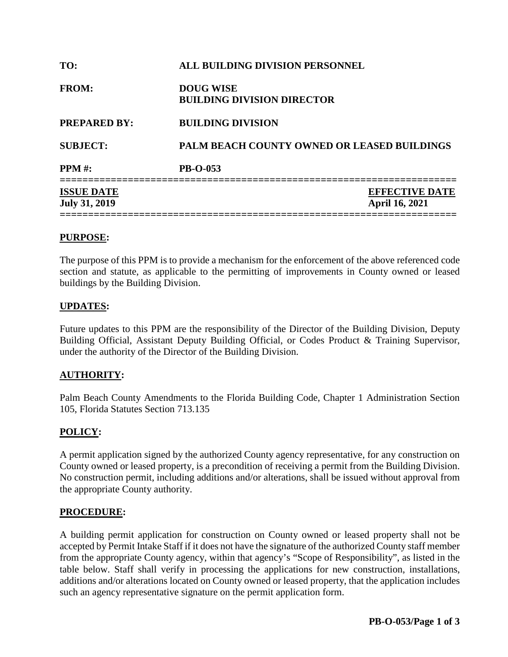| TO:                                       | ALL BUILDING DIVISION PERSONNEL                       |  |
|-------------------------------------------|-------------------------------------------------------|--|
| <b>FROM:</b>                              | <b>DOUG WISE</b><br><b>BUILDING DIVISION DIRECTOR</b> |  |
| <b>PREPARED BY:</b>                       | <b>BUILDING DIVISION</b>                              |  |
| <b>SUBJECT:</b>                           | <b>PALM BEACH COUNTY OWNED OR LEASED BUILDINGS</b>    |  |
| <b>PPM</b> #:                             | <b>PB-O-053</b>                                       |  |
| <b>ISSUE DATE</b><br><b>July 31, 2019</b> | <b>EFFECTIVE DATE</b><br><b>April 16, 2021</b>        |  |

#### **PURPOSE:**

The purpose of this PPM is to provide a mechanism for the enforcement of the above referenced code section and statute, as applicable to the permitting of improvements in County owned or leased buildings by the Building Division.

### **UPDATES:**

Future updates to this PPM are the responsibility of the Director of the Building Division, Deputy Building Official, Assistant Deputy Building Official, or Codes Product & Training Supervisor, under the authority of the Director of the Building Division.

## **AUTHORITY:**

Palm Beach County Amendments to the Florida Building Code, Chapter 1 Administration Section 105, Florida Statutes Section 713.135

## **POLICY:**

A permit application signed by the authorized County agency representative, for any construction on County owned or leased property, is a precondition of receiving a permit from the Building Division. No construction permit, including additions and/or alterations, shall be issued without approval from the appropriate County authority.

#### **PROCEDURE:**

A building permit application for construction on County owned or leased property shall not be accepted by Permit Intake Staff if it does not have the signature of the authorized County staff member from the appropriate County agency, within that agency's "Scope of Responsibility", as listed in the table below. Staff shall verify in processing the applications for new construction, installations, additions and/or alterations located on County owned or leased property, that the application includes such an agency representative signature on the permit application form.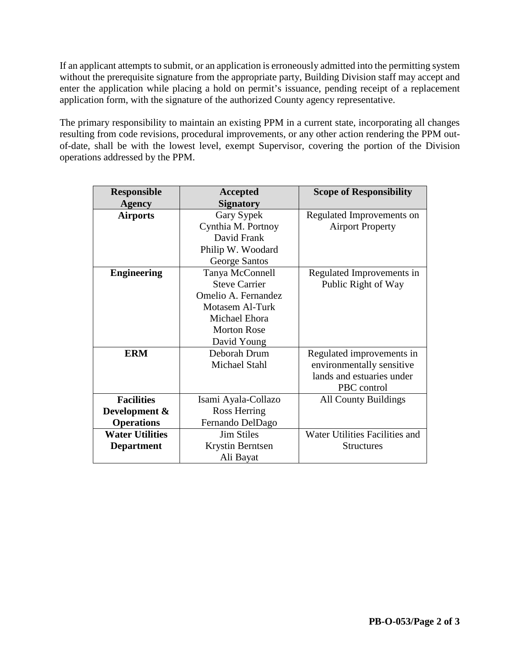If an applicant attempts to submit, or an application is erroneously admitted into the permitting system without the prerequisite signature from the appropriate party, Building Division staff may accept and enter the application while placing a hold on permit's issuance, pending receipt of a replacement application form, with the signature of the authorized County agency representative.

The primary responsibility to maintain an existing PPM in a current state, incorporating all changes resulting from code revisions, procedural improvements, or any other action rendering the PPM outof-date, shall be with the lowest level, exempt Supervisor, covering the portion of the Division operations addressed by the PPM.

| <b>Responsible</b>     | Accepted             | <b>Scope of Responsibility</b> |
|------------------------|----------------------|--------------------------------|
| <b>Agency</b>          | <b>Signatory</b>     |                                |
| <b>Airports</b>        | Gary Sypek           | Regulated Improvements on      |
|                        | Cynthia M. Portnoy   | <b>Airport Property</b>        |
|                        | David Frank          |                                |
|                        | Philip W. Woodard    |                                |
|                        | George Santos        |                                |
| <b>Engineering</b>     | Tanya McConnell      | Regulated Improvements in      |
|                        | <b>Steve Carrier</b> | Public Right of Way            |
|                        | Omelio A. Fernandez  |                                |
|                        | Motasem Al-Turk      |                                |
|                        | Michael Ehora        |                                |
|                        | <b>Morton Rose</b>   |                                |
|                        | David Young          |                                |
| <b>ERM</b>             | Deborah Drum         | Regulated improvements in      |
|                        | Michael Stahl        | environmentally sensitive      |
|                        |                      | lands and estuaries under      |
|                        |                      | PBC control                    |
| <b>Facilities</b>      | Isami Ayala-Collazo  | <b>All County Buildings</b>    |
| Development &          | Ross Herring         |                                |
| <b>Operations</b>      | Fernando DelDago     |                                |
| <b>Water Utilities</b> | <b>Jim Stiles</b>    | Water Utilities Facilities and |
| <b>Department</b>      | Krystin Berntsen     | <b>Structures</b>              |
|                        | Ali Bayat            |                                |